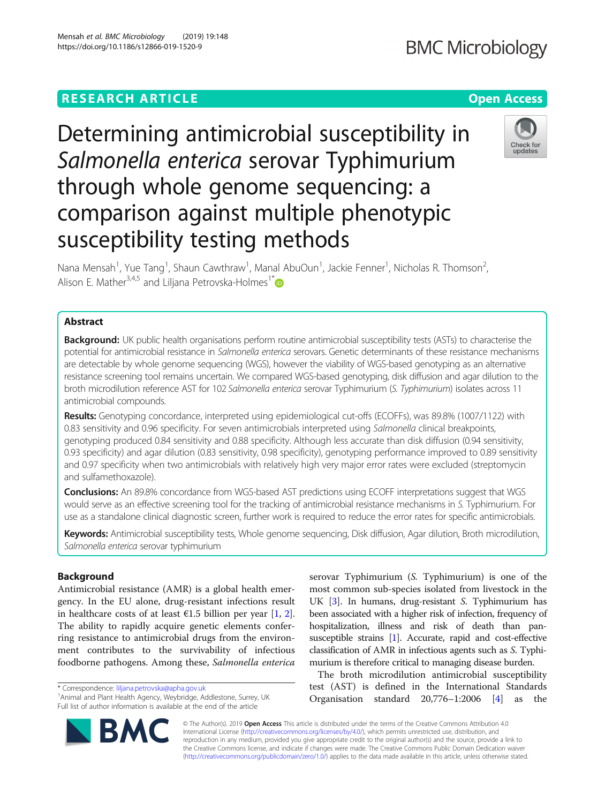# **RESEARCH ARTICLE Example 2018 12:30 THE Open Access**

Mensah et al. BMC Microbiology (2019) 19:148 https://doi.org/10.1186/s12866-019-1520-9

# Determining antimicrobial susceptibility in Salmonella enterica serovar Typhimurium through whole genome sequencing: a comparison against multiple phenotypic susceptibility testing methods

Nana Mensah<sup>1</sup>, Yue Tang<sup>1</sup>, Shaun Cawthraw<sup>1</sup>, Manal AbuOun<sup>1</sup>, Jackie Fenner<sup>1</sup>, Nicholas R. Thomson<sup>2</sup> , Alison E. Mather<sup>3,4,5</sup> and Liljana Petrovska-Holmes<sup>1\*</sup>

# Abstract

Background: UK public health organisations perform routine antimicrobial susceptibility tests (ASTs) to characterise the potential for antimicrobial resistance in Salmonella enterica serovars. Genetic determinants of these resistance mechanisms are detectable by whole genome sequencing (WGS), however the viability of WGS-based genotyping as an alternative resistance screening tool remains uncertain. We compared WGS-based genotyping, disk diffusion and agar dilution to the broth microdilution reference AST for 102 Salmonella enterica serovar Typhimurium (S. Typhimurium) isolates across 11 antimicrobial compounds.

Results: Genotyping concordance, interpreted using epidemiological cut-offs (ECOFFs), was 89.8% (1007/1122) with 0.83 sensitivity and 0.96 specificity. For seven antimicrobials interpreted using Salmonella clinical breakpoints, genotyping produced 0.84 sensitivity and 0.88 specificity. Although less accurate than disk diffusion (0.94 sensitivity, 0.93 specificity) and agar dilution (0.83 sensitivity, 0.98 specificity), genotyping performance improved to 0.89 sensitivity and 0.97 specificity when two antimicrobials with relatively high very major error rates were excluded (streptomycin and sulfamethoxazole).

Conclusions: An 89.8% concordance from WGS-based AST predictions using ECOFF interpretations suggest that WGS would serve as an effective screening tool for the tracking of antimicrobial resistance mechanisms in S. Typhimurium. For use as a standalone clinical diagnostic screen, further work is required to reduce the error rates for specific antimicrobials.

Keywords: Antimicrobial susceptibility tests, Whole genome sequencing, Disk diffusion, Agar dilution, Broth microdilution, Salmonella enterica serovar typhimurium

# Background

Antimicrobial resistance (AMR) is a global health emergency. In the EU alone, drug-resistant infections result in healthcare costs of at least  $\epsilon$ 1.5 billion per year [[1,](#page-8-0) [2](#page-8-0)]. The ability to rapidly acquire genetic elements conferring resistance to antimicrobial drugs from the environment contributes to the survivability of infectious foodborne pathogens. Among these, Salmonella enterica

\* Correspondence: [liljana.petrovska@apha.gov.uk](mailto:liljana.petrovska@apha.gov.uk) <sup>1</sup>

<sup>1</sup> Animal and Plant Health Agency, Weybridge, Addlestone, Surrey, UK Full list of author information is available at the end of the article

© The Author(s). 2019 Open Access This article is distributed under the terms of the Creative Commons Attribution 4.0 International License [\(http://creativecommons.org/licenses/by/4.0/](http://creativecommons.org/licenses/by/4.0/)), which permits unrestricted use, distribution, and reproduction in any medium, provided you give appropriate credit to the original author(s) and the source, provide a link to the Creative Commons license, and indicate if changes were made. The Creative Commons Public Domain Dedication waiver

[\(http://creativecommons.org/publicdomain/zero/1.0/](http://creativecommons.org/publicdomain/zero/1.0/)) applies to the data made available in this article, unless otherwise stated.

serovar Typhimurium (S. Typhimurium) is one of the most common sub-species isolated from livestock in the UK [[3\]](#page-8-0). In humans, drug-resistant S. Typhimurium has been associated with a higher risk of infection, frequency of hospitalization, illness and risk of death than pansusceptible strains [\[1\]](#page-8-0). Accurate, rapid and cost-effective classification of AMR in infectious agents such as S. Typhimurium is therefore critical to managing disease burden.

The broth microdilution antimicrobial susceptibility test (AST) is defined in the International Standards Organisation standard 20,776–1:2006 [[4\]](#page-8-0) as the



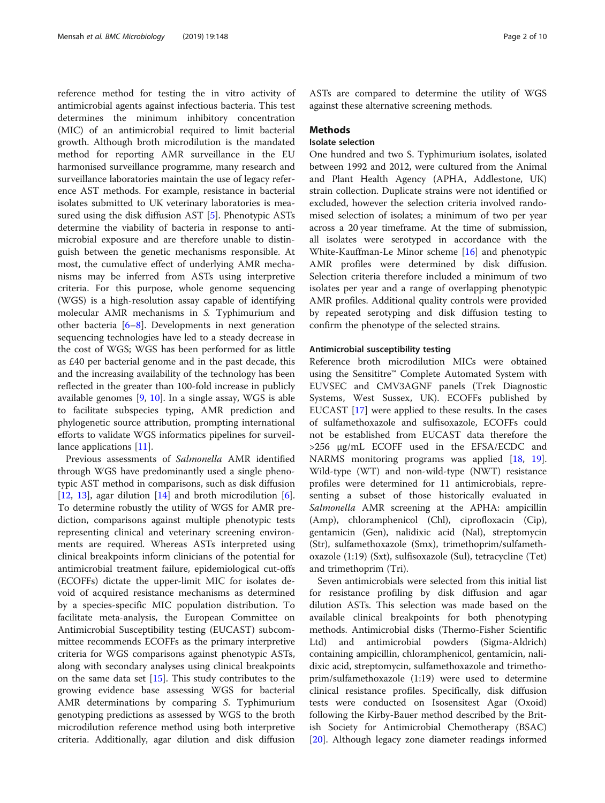reference method for testing the in vitro activity of antimicrobial agents against infectious bacteria. This test determines the minimum inhibitory concentration (MIC) of an antimicrobial required to limit bacterial growth. Although broth microdilution is the mandated method for reporting AMR surveillance in the EU harmonised surveillance programme, many research and surveillance laboratories maintain the use of legacy reference AST methods. For example, resistance in bacterial isolates submitted to UK veterinary laboratories is measured using the disk diffusion AST [[5\]](#page-8-0). Phenotypic ASTs determine the viability of bacteria in response to antimicrobial exposure and are therefore unable to distinguish between the genetic mechanisms responsible. At most, the cumulative effect of underlying AMR mechanisms may be inferred from ASTs using interpretive criteria. For this purpose, whole genome sequencing (WGS) is a high-resolution assay capable of identifying molecular AMR mechanisms in S. Typhimurium and other bacteria [\[6](#page-8-0)–[8\]](#page-8-0). Developments in next generation sequencing technologies have led to a steady decrease in the cost of WGS; WGS has been performed for as little as £40 per bacterial genome and in the past decade, this and the increasing availability of the technology has been reflected in the greater than 100-fold increase in publicly available genomes [\[9](#page-8-0), [10](#page-8-0)]. In a single assay, WGS is able to facilitate subspecies typing, AMR prediction and phylogenetic source attribution, prompting international efforts to validate WGS informatics pipelines for surveil-lance applications [[11\]](#page-8-0).

Previous assessments of Salmonella AMR identified through WGS have predominantly used a single phenotypic AST method in comparisons, such as disk diffusion [[12,](#page-8-0) [13\]](#page-8-0), agar dilution  $[14]$  and broth microdilution  $[6]$  $[6]$ . To determine robustly the utility of WGS for AMR prediction, comparisons against multiple phenotypic tests representing clinical and veterinary screening environments are required. Whereas ASTs interpreted using clinical breakpoints inform clinicians of the potential for antimicrobial treatment failure, epidemiological cut-offs (ECOFFs) dictate the upper-limit MIC for isolates devoid of acquired resistance mechanisms as determined by a species-specific MIC population distribution. To facilitate meta-analysis, the European Committee on Antimicrobial Susceptibility testing (EUCAST) subcommittee recommends ECOFFs as the primary interpretive criteria for WGS comparisons against phenotypic ASTs, along with secondary analyses using clinical breakpoints on the same data set [\[15](#page-8-0)]. This study contributes to the growing evidence base assessing WGS for bacterial AMR determinations by comparing S. Typhimurium genotyping predictions as assessed by WGS to the broth microdilution reference method using both interpretive criteria. Additionally, agar dilution and disk diffusion

ASTs are compared to determine the utility of WGS against these alternative screening methods.

# Methods

# Isolate selection

One hundred and two S. Typhimurium isolates, isolated between 1992 and 2012, were cultured from the Animal and Plant Health Agency (APHA, Addlestone, UK) strain collection. Duplicate strains were not identified or excluded, however the selection criteria involved randomised selection of isolates; a minimum of two per year across a 20 year timeframe. At the time of submission, all isolates were serotyped in accordance with the White-Kauffman-Le Minor scheme [[16\]](#page-8-0) and phenotypic AMR profiles were determined by disk diffusion. Selection criteria therefore included a minimum of two isolates per year and a range of overlapping phenotypic AMR profiles. Additional quality controls were provided by repeated serotyping and disk diffusion testing to confirm the phenotype of the selected strains.

# Antimicrobial susceptibility testing

Reference broth microdilution MICs were obtained using the Sensititre™ Complete Automated System with EUVSEC and CMV3AGNF panels (Trek Diagnostic Systems, West Sussex, UK). ECOFFs published by EUCAST [\[17](#page-8-0)] were applied to these results. In the cases of sulfamethoxazole and sulfisoxazole, ECOFFs could not be established from EUCAST data therefore the >256 μg/mL ECOFF used in the EFSA/ECDC and NARMS monitoring programs was applied [[18,](#page-8-0) [19](#page-8-0)]. Wild-type (WT) and non-wild-type (NWT) resistance profiles were determined for 11 antimicrobials, representing a subset of those historically evaluated in Salmonella AMR screening at the APHA: ampicillin (Amp), chloramphenicol (Chl), ciprofloxacin (Cip), gentamicin (Gen), nalidixic acid (Nal), streptomycin (Str), sulfamethoxazole (Smx), trimethoprim/sulfamethoxazole (1:19) (Sxt), sulfisoxazole (Sul), tetracycline (Tet) and trimethoprim (Tri).

Seven antimicrobials were selected from this initial list for resistance profiling by disk diffusion and agar dilution ASTs. This selection was made based on the available clinical breakpoints for both phenotyping methods. Antimicrobial disks (Thermo-Fisher Scientific Ltd) and antimicrobial powders (Sigma-Aldrich) containing ampicillin, chloramphenicol, gentamicin, nalidixic acid, streptomycin, sulfamethoxazole and trimethoprim/sulfamethoxazole (1:19) were used to determine clinical resistance profiles. Specifically, disk diffusion tests were conducted on Isosensitest Agar (Oxoid) following the Kirby-Bauer method described by the British Society for Antimicrobial Chemotherapy (BSAC) [[20\]](#page-8-0). Although legacy zone diameter readings informed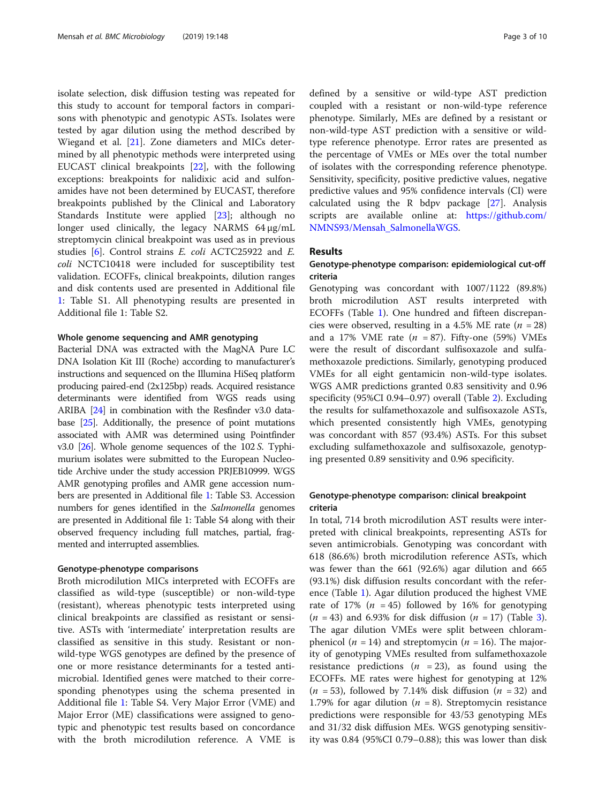isolate selection, disk diffusion testing was repeated for this study to account for temporal factors in comparisons with phenotypic and genotypic ASTs. Isolates were tested by agar dilution using the method described by Wiegand et al. [[21\]](#page-8-0). Zone diameters and MICs determined by all phenotypic methods were interpreted using EUCAST clinical breakpoints [\[22](#page-8-0)], with the following exceptions: breakpoints for nalidixic acid and sulfonamides have not been determined by EUCAST, therefore breakpoints published by the Clinical and Laboratory Standards Institute were applied [[23\]](#page-8-0); although no longer used clinically, the legacy NARMS 64 μg/mL streptomycin clinical breakpoint was used as in previous studies [[6\]](#page-8-0). Control strains E. coli ACTC25922 and E. coli NCTC10418 were included for susceptibility test validation. ECOFFs, clinical breakpoints, dilution ranges and disk contents used are presented in Additional file [1:](#page-7-0) Table S1. All phenotyping results are presented in Additional file 1: Table S2.

# Whole genome sequencing and AMR genotyping

Bacterial DNA was extracted with the MagNA Pure LC DNA Isolation Kit III (Roche) according to manufacturer's instructions and sequenced on the Illumina HiSeq platform producing paired-end (2x125bp) reads. Acquired resistance determinants were identified from WGS reads using ARIBA [[24](#page-8-0)] in combination with the Resfinder v3.0 database [[25](#page-8-0)]. Additionally, the presence of point mutations associated with AMR was determined using Pointfinder v3.0 [[26](#page-8-0)]. Whole genome sequences of the 102 S. Typhimurium isolates were submitted to the European Nucleotide Archive under the study accession PRJEB10999. WGS AMR genotyping profiles and AMR gene accession numbers are presented in Additional file [1](#page-7-0): Table S3. Accession numbers for genes identified in the Salmonella genomes are presented in Additional file 1: Table S4 along with their observed frequency including full matches, partial, fragmented and interrupted assemblies.

# Genotype-phenotype comparisons

Broth microdilution MICs interpreted with ECOFFs are classified as wild-type (susceptible) or non-wild-type (resistant), whereas phenotypic tests interpreted using clinical breakpoints are classified as resistant or sensitive. ASTs with 'intermediate' interpretation results are classified as sensitive in this study. Resistant or nonwild-type WGS genotypes are defined by the presence of one or more resistance determinants for a tested antimicrobial. Identified genes were matched to their corresponding phenotypes using the schema presented in Additional file [1](#page-7-0): Table S4. Very Major Error (VME) and Major Error (ME) classifications were assigned to genotypic and phenotypic test results based on concordance with the broth microdilution reference. A VME is defined by a sensitive or wild-type AST prediction coupled with a resistant or non-wild-type reference phenotype. Similarly, MEs are defined by a resistant or non-wild-type AST prediction with a sensitive or wildtype reference phenotype. Error rates are presented as the percentage of VMEs or MEs over the total number of isolates with the corresponding reference phenotype. Sensitivity, specificity, positive predictive values, negative predictive values and 95% confidence intervals (CI) were calculated using the R bdpv package [[27\]](#page-8-0). Analysis scripts are available online at: [https://github.com/](https://github.com/NMNS93/Mensah_SalmonellaWGS) [NMNS93/Mensah\\_SalmonellaWGS](https://github.com/NMNS93/Mensah_SalmonellaWGS).

### Results

# Genotype-phenotype comparison: epidemiological cut-off criteria

Genotyping was concordant with 1007/1122 (89.8%) broth microdilution AST results interpreted with ECOFFs (Table [1](#page-3-0)). One hundred and fifteen discrepancies were observed, resulting in a 4.5% ME rate  $(n = 28)$ and a 17% VME rate  $(n = 87)$ . Fifty-one (59%) VMEs were the result of discordant sulfisoxazole and sulfamethoxazole predictions. Similarly, genotyping produced VMEs for all eight gentamicin non-wild-type isolates. WGS AMR predictions granted 0.83 sensitivity and 0.96 specificity (95%CI 0.94–0.97) overall (Table [2\)](#page-3-0). Excluding the results for sulfamethoxazole and sulfisoxazole ASTs, which presented consistently high VMEs, genotyping was concordant with 857 (93.4%) ASTs. For this subset excluding sulfamethoxazole and sulfisoxazole, genotyping presented 0.89 sensitivity and 0.96 specificity.

# Genotype-phenotype comparison: clinical breakpoint criteria

In total, 714 broth microdilution AST results were interpreted with clinical breakpoints, representing ASTs for seven antimicrobials. Genotyping was concordant with 618 (86.6%) broth microdilution reference ASTs, which was fewer than the 661 (92.6%) agar dilution and 665 (93.1%) disk diffusion results concordant with the reference (Table [1](#page-3-0)). Agar dilution produced the highest VME rate of 17% ( $n = 45$ ) followed by 16% for genotyping  $(n = 43)$  $(n = 43)$  $(n = 43)$  and 6.93% for disk diffusion  $(n = 17)$  (Table 3). The agar dilution VMEs were split between chloramphenicol ( $n = 14$ ) and streptomycin ( $n = 16$ ). The majority of genotyping VMEs resulted from sulfamethoxazole resistance predictions ( $n = 23$ ), as found using the ECOFFs. ME rates were highest for genotyping at 12%  $(n = 53)$ , followed by 7.14% disk diffusion  $(n = 32)$  and 1.79% for agar dilution ( $n = 8$ ). Streptomycin resistance predictions were responsible for 43/53 genotyping MEs and 31/32 disk diffusion MEs. WGS genotyping sensitivity was 0.84 (95%CI 0.79–0.88); this was lower than disk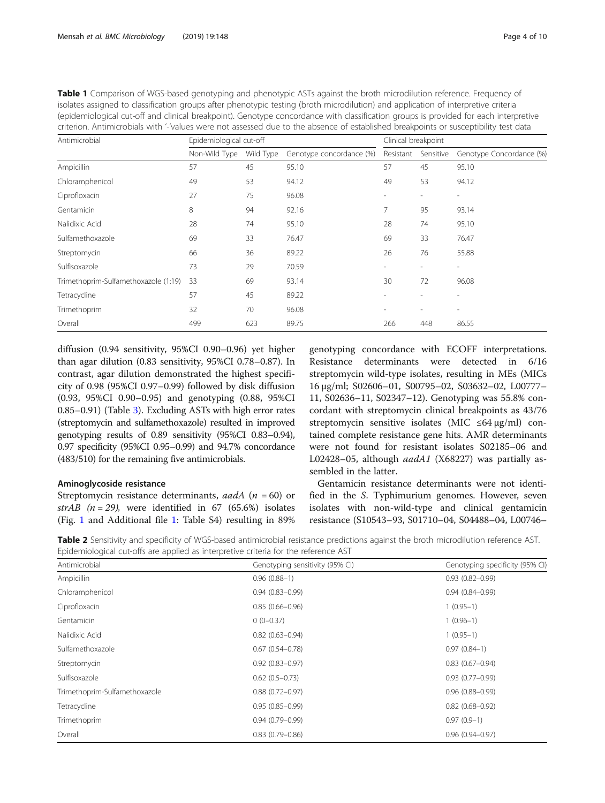<span id="page-3-0"></span>

| Table 1 Comparison of WGS-based genotyping and phenotypic ASTs against the broth microdilution reference. Frequency of               |
|--------------------------------------------------------------------------------------------------------------------------------------|
| isolates assigned to classification groups after phenotypic testing (broth microdilution) and application of interpretive criteria   |
| (epidemiological cut-off and clinical breakpoint). Genotype concordance with classification groups is provided for each interpretive |
| criterion. Antimicrobials with '-'values were not assessed due to the absence of established breakpoints or susceptibility test data |
|                                                                                                                                      |

| Antimicrobial                        | Epidemiological cut-off |           |                          | Clinical breakpoint |                          |                          |
|--------------------------------------|-------------------------|-----------|--------------------------|---------------------|--------------------------|--------------------------|
|                                      | Non-Wild Type           | Wild Type | Genotype concordance (%) | Resistant           | Sensitive                | Genotype Concordance (%) |
| Ampicillin                           | 57                      | 45        | 95.10                    | 57                  | 45                       | 95.10                    |
| Chloramphenicol                      | 49                      | 53        | 94.12                    | 49                  | 53                       | 94.12                    |
| Ciprofloxacin                        | 27                      | 75        | 96.08                    |                     |                          |                          |
| Gentamicin                           | 8                       | 94        | 92.16                    | 7                   | 95                       | 93.14                    |
| Nalidixic Acid                       | 28                      | 74        | 95.10                    | 28                  | 74                       | 95.10                    |
| Sulfamethoxazole                     | 69                      | 33        | 76.47                    | 69                  | 33                       | 76.47                    |
| Streptomycin                         | 66                      | 36        | 89.22                    | 26                  | 76                       | 55.88                    |
| Sulfisoxazole                        | 73                      | 29        | 70.59                    | ٠                   |                          |                          |
| Trimethoprim-Sulfamethoxazole (1:19) | 33                      | 69        | 93.14                    | 30                  | 72                       | 96.08                    |
| Tetracycline                         | 57                      | 45        | 89.22                    |                     |                          |                          |
| Trimethoprim                         | 32                      | 70        | 96.08                    | ٠                   | $\overline{\phantom{a}}$ | $\overline{\phantom{a}}$ |
| Overall                              | 499                     | 623       | 89.75                    | 266                 | 448                      | 86.55                    |

diffusion (0.94 sensitivity, 95%CI 0.90–0.96) yet higher than agar dilution (0.83 sensitivity, 95%CI 0.78–0.87). In contrast, agar dilution demonstrated the highest specificity of 0.98 (95%CI 0.97–0.99) followed by disk diffusion (0.93, 95%CI 0.90–0.95) and genotyping (0.88, 95%CI 0.85–0.91) (Table [3](#page-4-0)). Excluding ASTs with high error rates (streptomycin and sulfamethoxazole) resulted in improved genotyping results of 0.89 sensitivity (95%CI 0.83–0.94), 0.97 specificity (95%CI 0.95–0.99) and 94.7% concordance (483/510) for the remaining five antimicrobials.

# Aminoglycoside resistance

Streptomycin resistance determinants, aadA ( $n = 60$ ) or strAB ( $n = 29$ ), were identified in 67 (65.6%) isolates (Fig. [1](#page-4-0) and Additional file [1:](#page-7-0) Table S4) resulting in 89%

genotyping concordance with ECOFF interpretations. Resistance determinants were detected in 6/16 streptomycin wild-type isolates, resulting in MEs (MICs 16 μg/ml; S02606–01, S00795–02, S03632–02, L00777– 11, S02636–11, S02347–12). Genotyping was 55.8% concordant with streptomycin clinical breakpoints as 43/76 streptomycin sensitive isolates (MIC  $\leq 64 \mu$ g/ml) contained complete resistance gene hits. AMR determinants were not found for resistant isolates S02185–06 and L02428–05, although aadA1 (X68227) was partially assembled in the latter.

Gentamicin resistance determinants were not identified in the S. Typhimurium genomes. However, seven isolates with non-wild-type and clinical gentamicin resistance (S10543–93, S01710–04, S04488–04, L00746–

Table 2 Sensitivity and specificity of WGS-based antimicrobial resistance predictions against the broth microdilution reference AST. Epidemiological cut-offs are applied as interpretive criteria for the reference AST

| Antimicrobial                 | Genotyping sensitivity (95% CI) | Genotyping specificity (95% CI) |  |  |
|-------------------------------|---------------------------------|---------------------------------|--|--|
| Ampicillin                    | $0.96(0.88-1)$                  | $0.93(0.82 - 0.99)$             |  |  |
| Chloramphenicol               | $0.94(0.83 - 0.99)$             | $0.94(0.84 - 0.99)$             |  |  |
| Ciprofloxacin                 | $0.85(0.66 - 0.96)$             | $1(0.95-1)$                     |  |  |
| Gentamicin                    | $0(0-0.37)$                     | $1(0.96-1)$                     |  |  |
| Nalidixic Acid                | $0.82(0.63 - 0.94)$             | $1(0.95-1)$                     |  |  |
| Sulfamethoxazole              | $0.67$ $(0.54 - 0.78)$          | $0.97(0.84-1)$                  |  |  |
| Streptomycin                  | $0.92(0.83 - 0.97)$             | $0.83(0.67 - 0.94)$             |  |  |
| Sulfisoxazole                 | $0.62(0.5 - 0.73)$              | $0.93(0.77-0.99)$               |  |  |
| Trimethoprim-Sulfamethoxazole | $0.88(0.72 - 0.97)$             | $0.96(0.88 - 0.99)$             |  |  |
| Tetracycline                  | $0.95(0.85 - 0.99)$             | $0.82(0.68 - 0.92)$             |  |  |
| Trimethoprim                  | $0.94(0.79 - 0.99)$             | $0.97(0.9-1)$                   |  |  |
| Overall                       | $0.83(0.79 - 0.86)$             | $0.96(0.94 - 0.97)$             |  |  |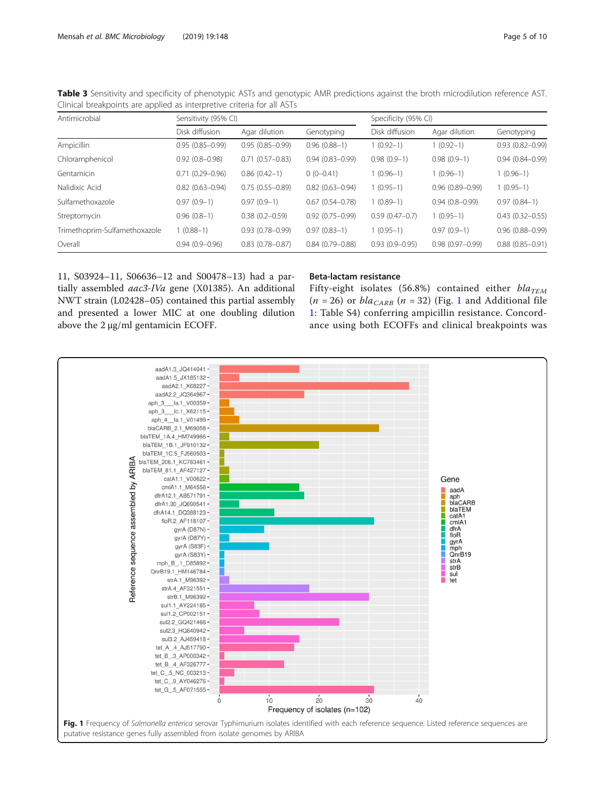| Cimical dreakpoints are applied as interpretive criteria for all ASTS. |                      |                     |                     |                      |                     |                     |  |  |  |
|------------------------------------------------------------------------|----------------------|---------------------|---------------------|----------------------|---------------------|---------------------|--|--|--|
| Antimicrobial                                                          | Sensitivity (95% CI) |                     |                     | Specificity (95% CI) |                     |                     |  |  |  |
|                                                                        | Disk diffusion       | Agar dilution       | Genotyping          | Disk diffusion       | Agar dilution       | Genotyping          |  |  |  |
| Ampicillin                                                             | $0.95(0.85 - 0.99)$  | $0.95(0.85 - 0.99)$ | $0.96(0.88-1)$      | $1(0.92-1)$          | $1(0.92-1)$         | $0.93(0.82 - 0.99)$ |  |  |  |
| Chloramphenicol                                                        | $0.92(0.8 - 0.98)$   | $0.71(0.57 - 0.83)$ | $0.94(0.83 - 0.99)$ | $0.98(0.9-1)$        | $0.98(0.9-1)$       | $0.94(0.84 - 0.99)$ |  |  |  |
| Gentamicin                                                             | $0.71(0.29 - 0.96)$  | $0.86(0.42-1)$      | $0(0-0.41)$         | $1(0.96-1)$          | $1(0.96-1)$         | $1(0.96-1)$         |  |  |  |
| Nalidixic Acid                                                         | $0.82(0.63 - 0.94)$  | $0.75(0.55 - 0.89)$ | $0.82(0.63 - 0.94)$ | $1(0.95-1)$          | $0.96(0.89 - 0.99)$ | $1(0.95-1)$         |  |  |  |
| Sulfamethoxazole                                                       | $0.97(0.9-1)$        | $0.97(0.9-1)$       | $0.67(0.54 - 0.78)$ | $1(0.89-1)$          | $0.94(0.8 - 0.99)$  | $0.97(0.84-1)$      |  |  |  |
| Streptomycin                                                           | $0.96(0.8-1)$        | $0.38(0.2 - 0.59)$  | $0.92(0.75 - 0.99)$ | $0.59(0.47-0.7)$     | $1(0.95-1)$         | $0.43(0.32 - 0.55)$ |  |  |  |
| Trimethoprim-Sulfamethoxazole                                          | $(0.88 - 1)$         | $0.93(0.78 - 0.99)$ | $0.97(0.83-1)$      | $1(0.95-1)$          | $0.97(0.9-1)$       | $0.96(0.88 - 0.99)$ |  |  |  |
| Overall                                                                | $0.94(0.9 - 0.96)$   | $0.83(0.78 - 0.87)$ | $0.84(0.79 - 0.88)$ | $0.93(0.9 - 0.95)$   | $0.98(0.97 - 0.99)$ | $0.88(0.85 - 0.91)$ |  |  |  |

<span id="page-4-0"></span>Table 3 Sensitivity and specificity of phenotypic ASTs and genotypic AMR predictions against the broth microdilution reference AST. Clinical breakpoints are applied as interpretive criteria for all ASTs

11, S03924–11, S06636–12 and S00478–13) had a partially assembled aac3-IVa gene (X01385). An additional NWT strain (L02428–05) contained this partial assembly and presented a lower MIC at one doubling dilution above the 2 μg/ml gentamicin ECOFF.

# Beta-lactam resistance

Fifty-eight isolates (56.8%) contained either  $bla_{TEM}$  $(n = 26)$  or  $bla_{CARB}$   $(n = 32)$  (Fig. 1 and Additional file [1:](#page-7-0) Table S4) conferring ampicillin resistance. Concordance using both ECOFFs and clinical breakpoints was

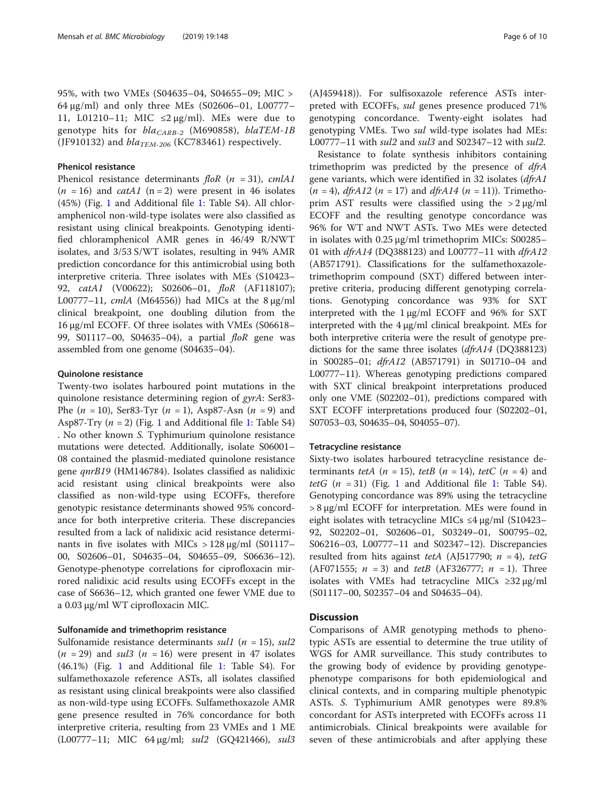95%, with two VMEs (S04635–04, S04655–09; MIC > 64 μg/ml) and only three MEs (S02606–01, L00777– 11, L01210–11; MIC  $\leq$ 2  $\mu$ g/ml). MEs were due to genotype hits for  $bla_{CARR-2}$  (M690858), blaTEM-1B (JF910132) and  $bla_{TEM-206}$  (KC783461) respectively.

# Phenicol resistance

Phenicol resistance determinants  $f \circ R$  (n = 31), cmlA1  $(n = 16)$  and *catA1* (n = 2) were present in 46 isolates (45%) (Fig. [1](#page-4-0) and Additional file [1:](#page-7-0) Table S4). All chloramphenicol non-wild-type isolates were also classified as resistant using clinical breakpoints. Genotyping identified chloramphenicol AMR genes in 46/49 R/NWT isolates, and 3/53 S/WT isolates, resulting in 94% AMR prediction concordance for this antimicrobial using both interpretive criteria. Three isolates with MEs (S10423– 92, *catA1* (V00622); S02606-01, *floR* (AF118107); L00777–11,  $cmlA$  (M64556)) had MICs at the 8  $\mu$ g/ml clinical breakpoint, one doubling dilution from the 16 μg/ml ECOFF. Of three isolates with VMEs (S06618– 99, S01117-00, S04635-04), a partial floR gene was assembled from one genome (S04635–04).

# Quinolone resistance

Twenty-two isolates harboured point mutations in the quinolone resistance determining region of gyrA: Ser83- Phe  $(n = 10)$ , Ser83-Tyr  $(n = 1)$ , Asp87-Asn  $(n = 9)$  and Asp87-Try  $(n = 2)$  (Fig. [1](#page-7-0) and Additional file 1: Table S4) . No other known S. Typhimurium quinolone resistance mutations were detected. Additionally, isolate S06001– 08 contained the plasmid-mediated quinolone resistance gene qnrB19 (HM146784). Isolates classified as nalidixic acid resistant using clinical breakpoints were also classified as non-wild-type using ECOFFs, therefore genotypic resistance determinants showed 95% concordance for both interpretive criteria. These discrepancies resulted from a lack of nalidixic acid resistance determinants in five isolates with MICs  $> 128 \mu g/ml$  (S01117– 00, S02606–01, S04635–04, S04655–09, S06636–12). Genotype-phenotype correlations for ciprofloxacin mirrored nalidixic acid results using ECOFFs except in the case of S6636–12, which granted one fewer VME due to a 0.03 μg/ml WT ciprofloxacin MIC.

# Sulfonamide and trimethoprim resistance

Sulfonamide resistance determinants *sul1* ( $n = 15$ ), *sul2*  $(n = 29)$  and sul<sub>3</sub>  $(n = 16)$  were present in 47 isolates (46.1%) (Fig. [1](#page-4-0) and Additional file [1:](#page-7-0) Table S4). For sulfamethoxazole reference ASTs, all isolates classified as resistant using clinical breakpoints were also classified as non-wild-type using ECOFFs. Sulfamethoxazole AMR gene presence resulted in 76% concordance for both interpretive criteria, resulting from 23 VMEs and 1 ME (L00777–11; MIC 64 μg/ml; sul2 (GQ421466), sul3

(AJ459418)). For sulfisoxazole reference ASTs interpreted with ECOFFs, sul genes presence produced 71% genotyping concordance. Twenty-eight isolates had genotyping VMEs. Two *sul* wild-type isolates had MEs: L00777–11 with sul2 and sul3 and S02347–12 with sul2.

Resistance to folate synthesis inhibitors containing trimethoprim was predicted by the presence of dfrA gene variants, which were identified in 32 isolates (dfrA1  $(n = 4)$ , *dfrA12*  $(n = 17)$  and *dfrA14*  $(n = 11)$ ). Trimethoprim AST results were classified using the  $>2 \mu$ g/ml ECOFF and the resulting genotype concordance was 96% for WT and NWT ASTs. Two MEs were detected in isolates with 0.25 μg/ml trimethoprim MICs: S00285– 01 with dfrA14 (DQ388123) and L00777–11 with dfrA12 (AB571791). Classifications for the sulfamethoxazoletrimethoprim compound (SXT) differed between interpretive criteria, producing different genotyping correlations. Genotyping concordance was 93% for SXT interpreted with the 1 μg/ml ECOFF and 96% for SXT interpreted with the 4 μg/ml clinical breakpoint. MEs for both interpretive criteria were the result of genotype predictions for the same three isolates (dfrA14 (DQ388123) in S00285–01; dfrA12 (AB571791) in S01710–04 and L00777–11). Whereas genotyping predictions compared with SXT clinical breakpoint interpretations produced only one VME (S02202–01), predictions compared with SXT ECOFF interpretations produced four (S02202–01, S07053–03, S04635–04, S04055–07).

# Tetracycline resistance

Sixty-two isolates harboured tetracycline resistance determinants tetA ( $n = 15$ ), tetB ( $n = 14$ ), tetC ( $n = 4$ ) and tetG  $(n = 31)$  $(n = 31)$  $(n = 31)$  (Fig. 1 and Additional file 1: Table S4). Genotyping concordance was 89% using the tetracycline > 8 μg/ml ECOFF for interpretation. MEs were found in eight isolates with tetracycline MICs ≤4 μg/ml (S10423– 92, S02202–01, S02606–01, S03249–01, S00795–02, S06216–03, L00777–11 and S02347–12). Discrepancies resulted from hits against tetA (AJ517790;  $n = 4$ ), tetG (AF071555;  $n = 3$ ) and tetB (AF326777;  $n = 1$ ). Three isolates with VMEs had tetracycline MICs ≥32 μg/ml (S01117–00, S02357–04 and S04635–04).

# **Discussion**

Comparisons of AMR genotyping methods to phenotypic ASTs are essential to determine the true utility of WGS for AMR surveillance. This study contributes to the growing body of evidence by providing genotypephenotype comparisons for both epidemiological and clinical contexts, and in comparing multiple phenotypic ASTs. S. Typhimurium AMR genotypes were 89.8% concordant for ASTs interpreted with ECOFFs across 11 antimicrobials. Clinical breakpoints were available for seven of these antimicrobials and after applying these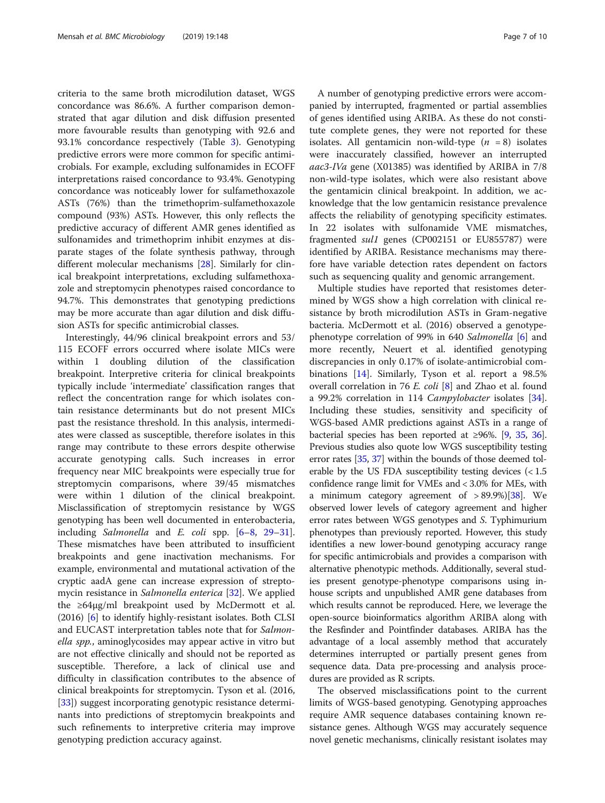criteria to the same broth microdilution dataset, WGS concordance was 86.6%. A further comparison demonstrated that agar dilution and disk diffusion presented more favourable results than genotyping with 92.6 and 93.1% concordance respectively (Table [3](#page-4-0)). Genotyping predictive errors were more common for specific antimicrobials. For example, excluding sulfonamides in ECOFF interpretations raised concordance to 93.4%. Genotyping concordance was noticeably lower for sulfamethoxazole ASTs (76%) than the trimethoprim-sulfamethoxazole compound (93%) ASTs. However, this only reflects the predictive accuracy of different AMR genes identified as sulfonamides and trimethoprim inhibit enzymes at disparate stages of the folate synthesis pathway, through different molecular mechanisms [[28](#page-8-0)]. Similarly for clinical breakpoint interpretations, excluding sulfamethoxazole and streptomycin phenotypes raised concordance to 94.7%. This demonstrates that genotyping predictions may be more accurate than agar dilution and disk diffusion ASTs for specific antimicrobial classes.

Interestingly, 44/96 clinical breakpoint errors and 53/ 115 ECOFF errors occurred where isolate MICs were within 1 doubling dilution of the classification breakpoint. Interpretive criteria for clinical breakpoints typically include 'intermediate' classification ranges that reflect the concentration range for which isolates contain resistance determinants but do not present MICs past the resistance threshold. In this analysis, intermediates were classed as susceptible, therefore isolates in this range may contribute to these errors despite otherwise accurate genotyping calls. Such increases in error frequency near MIC breakpoints were especially true for streptomycin comparisons, where 39/45 mismatches were within 1 dilution of the clinical breakpoint. Misclassification of streptomycin resistance by WGS genotyping has been well documented in enterobacteria, including Salmonella and E. coli spp. [\[6](#page-8-0)–[8](#page-8-0), [29](#page-8-0)–[31](#page-8-0)]. These mismatches have been attributed to insufficient breakpoints and gene inactivation mechanisms. For example, environmental and mutational activation of the cryptic aadA gene can increase expression of streptomycin resistance in Salmonella enterica [[32](#page-8-0)]. We applied the ≥64μg/ml breakpoint used by McDermott et al. (2016) [\[6](#page-8-0)] to identify highly-resistant isolates. Both CLSI and EUCAST interpretation tables note that for Salmonella spp., aminoglycosides may appear active in vitro but are not effective clinically and should not be reported as susceptible. Therefore, a lack of clinical use and difficulty in classification contributes to the absence of clinical breakpoints for streptomycin. Tyson et al. (2016, [[33\]](#page-8-0)) suggest incorporating genotypic resistance determinants into predictions of streptomycin breakpoints and such refinements to interpretive criteria may improve genotyping prediction accuracy against.

A number of genotyping predictive errors were accompanied by interrupted, fragmented or partial assemblies of genes identified using ARIBA. As these do not constitute complete genes, they were not reported for these isolates. All gentamicin non-wild-type  $(n = 8)$  isolates were inaccurately classified, however an interrupted aac3-IVa gene (X01385) was identified by ARIBA in 7/8 non-wild-type isolates, which were also resistant above the gentamicin clinical breakpoint. In addition, we acknowledge that the low gentamicin resistance prevalence affects the reliability of genotyping specificity estimates. In 22 isolates with sulfonamide VME mismatches, fragmented sul1 genes (CP002151 or EU855787) were identified by ARIBA. Resistance mechanisms may therefore have variable detection rates dependent on factors such as sequencing quality and genomic arrangement.

Multiple studies have reported that resistomes determined by WGS show a high correlation with clinical resistance by broth microdilution ASTs in Gram-negative bacteria. McDermott et al. (2016) observed a genotype-phenotype correlation of 99% in 640 Salmonella [\[6\]](#page-8-0) and more recently, Neuert et al. identified genotyping discrepancies in only 0.17% of isolate-antimicrobial combinations [\[14\]](#page-8-0). Similarly, Tyson et al. report a 98.5% overall correlation in 76 E. coli [\[8\]](#page-8-0) and Zhao et al. found a 99.2% correlation in 114 Campylobacter isolates [\[34](#page-8-0)]. Including these studies, sensitivity and specificity of WGS-based AMR predictions against ASTs in a range of bacterial species has been reported at ≥96%. [[9](#page-8-0), [35](#page-9-0), [36](#page-9-0)]. Previous studies also quote low WGS susceptibility testing error rates [[35](#page-9-0), [37\]](#page-9-0) within the bounds of those deemed tolerable by the US FDA susceptibility testing devices  $\langle$  < 1.5 confidence range limit for VMEs and < 3.0% for MEs, with a minimum category agreement of  $> 89.9\%$  [[38](#page-9-0)]. We observed lower levels of category agreement and higher error rates between WGS genotypes and S. Typhimurium phenotypes than previously reported. However, this study identifies a new lower-bound genotyping accuracy range for specific antimicrobials and provides a comparison with alternative phenotypic methods. Additionally, several studies present genotype-phenotype comparisons using inhouse scripts and unpublished AMR gene databases from which results cannot be reproduced. Here, we leverage the open-source bioinformatics algorithm ARIBA along with the Resfinder and Pointfinder databases. ARIBA has the advantage of a local assembly method that accurately determines interrupted or partially present genes from sequence data. Data pre-processing and analysis procedures are provided as R scripts.

The observed misclassifications point to the current limits of WGS-based genotyping. Genotyping approaches require AMR sequence databases containing known resistance genes. Although WGS may accurately sequence novel genetic mechanisms, clinically resistant isolates may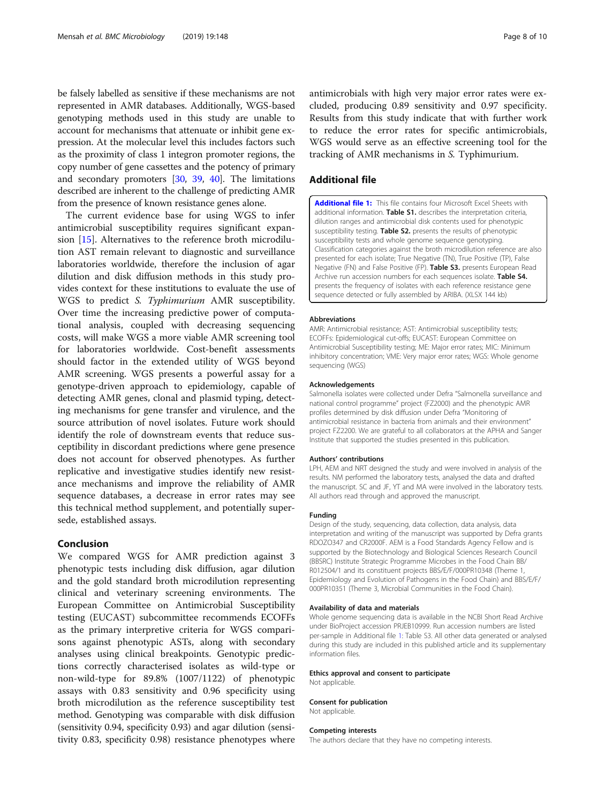<span id="page-7-0"></span>be falsely labelled as sensitive if these mechanisms are not represented in AMR databases. Additionally, WGS-based genotyping methods used in this study are unable to account for mechanisms that attenuate or inhibit gene expression. At the molecular level this includes factors such as the proximity of class 1 integron promoter regions, the copy number of gene cassettes and the potency of primary and secondary promoters [\[30,](#page-8-0) [39](#page-9-0), [40](#page-9-0)]. The limitations described are inherent to the challenge of predicting AMR from the presence of known resistance genes alone.

The current evidence base for using WGS to infer antimicrobial susceptibility requires significant expansion [\[15](#page-8-0)]. Alternatives to the reference broth microdilution AST remain relevant to diagnostic and surveillance laboratories worldwide, therefore the inclusion of agar dilution and disk diffusion methods in this study provides context for these institutions to evaluate the use of WGS to predict S. Typhimurium AMR susceptibility. Over time the increasing predictive power of computational analysis, coupled with decreasing sequencing costs, will make WGS a more viable AMR screening tool for laboratories worldwide. Cost-benefit assessments should factor in the extended utility of WGS beyond AMR screening. WGS presents a powerful assay for a genotype-driven approach to epidemiology, capable of detecting AMR genes, clonal and plasmid typing, detecting mechanisms for gene transfer and virulence, and the source attribution of novel isolates. Future work should identify the role of downstream events that reduce susceptibility in discordant predictions where gene presence does not account for observed phenotypes. As further replicative and investigative studies identify new resistance mechanisms and improve the reliability of AMR sequence databases, a decrease in error rates may see this technical method supplement, and potentially supersede, established assays.

# Conclusion

We compared WGS for AMR prediction against 3 phenotypic tests including disk diffusion, agar dilution and the gold standard broth microdilution representing clinical and veterinary screening environments. The European Committee on Antimicrobial Susceptibility testing (EUCAST) subcommittee recommends ECOFFs as the primary interpretive criteria for WGS comparisons against phenotypic ASTs, along with secondary analyses using clinical breakpoints. Genotypic predictions correctly characterised isolates as wild-type or non-wild-type for 89.8% (1007/1122) of phenotypic assays with 0.83 sensitivity and 0.96 specificity using broth microdilution as the reference susceptibility test method. Genotyping was comparable with disk diffusion (sensitivity 0.94, specificity 0.93) and agar dilution (sensitivity 0.83, specificity 0.98) resistance phenotypes where

antimicrobials with high very major error rates were excluded, producing 0.89 sensitivity and 0.97 specificity. Results from this study indicate that with further work to reduce the error rates for specific antimicrobials, WGS would serve as an effective screening tool for the tracking of AMR mechanisms in S. Typhimurium.

# Additional file

[Additional file 1:](https://doi.org/10.1186/s12866-019-1520-9) This file contains four Microsoft Excel Sheets with additional information. Table S1. describes the interpretation criteria, dilution ranges and antimicrobial disk contents used for phenotypic susceptibility testing. Table S2. presents the results of phenotypic susceptibility tests and whole genome sequence genotyping. Classification categories against the broth microdilution reference are also presented for each isolate; True Negative (TN), True Positive (TP), False Negative (FN) and False Positive (FP). Table S3. presents European Read Archive run accession numbers for each sequences isolate. Table S4. presents the frequency of isolates with each reference resistance gene sequence detected or fully assembled by ARIBA. (XLSX 144 kb)

#### Abbreviations

AMR: Antimicrobial resistance; AST: Antimicrobial susceptibility tests; ECOFFs: Epidemiological cut-offs; EUCAST: European Committee on Antimicrobial Susceptibility testing; ME: Major error rates; MIC: Minimum inhibitory concentration; VME: Very major error rates; WGS: Whole genome sequencing (WGS)

#### Acknowledgements

Salmonella isolates were collected under Defra "Salmonella surveillance and national control programme" project (FZ2000) and the phenotypic AMR profiles determined by disk diffusion under Defra "Monitoring of antimicrobial resistance in bacteria from animals and their environment" project FZ2200. We are grateful to all collaborators at the APHA and Sanger Institute that supported the studies presented in this publication.

#### Authors' contributions

LPH, AEM and NRT designed the study and were involved in analysis of the results. NM performed the laboratory tests, analysed the data and drafted the manuscript. SC and JF, YT and MA were involved in the laboratory tests. All authors read through and approved the manuscript.

#### Funding

Design of the study, sequencing, data collection, data analysis, data interpretation and writing of the manuscript was supported by Defra grants RDOZO347 and CR2000F. AEM is a Food Standards Agency Fellow and is supported by the Biotechnology and Biological Sciences Research Council (BBSRC) Institute Strategic Programme Microbes in the Food Chain BB/ R012504/1 and its constituent projects BBS/E/F/000PR10348 (Theme 1, Epidemiology and Evolution of Pathogens in the Food Chain) and BBS/E/F/ 000PR10351 (Theme 3, Microbial Communities in the Food Chain).

#### Availability of data and materials

Whole genome sequencing data is available in the NCBI Short Read Archive under BioProject accession PRJEB10999. Run accession numbers are listed per-sample in Additional file 1: Table S3. All other data generated or analysed during this study are included in this published article and its supplementary information files.

#### Ethics approval and consent to participate

Consent for publication Not applicable.

Not applicable.

#### Competing interests

The authors declare that they have no competing interests.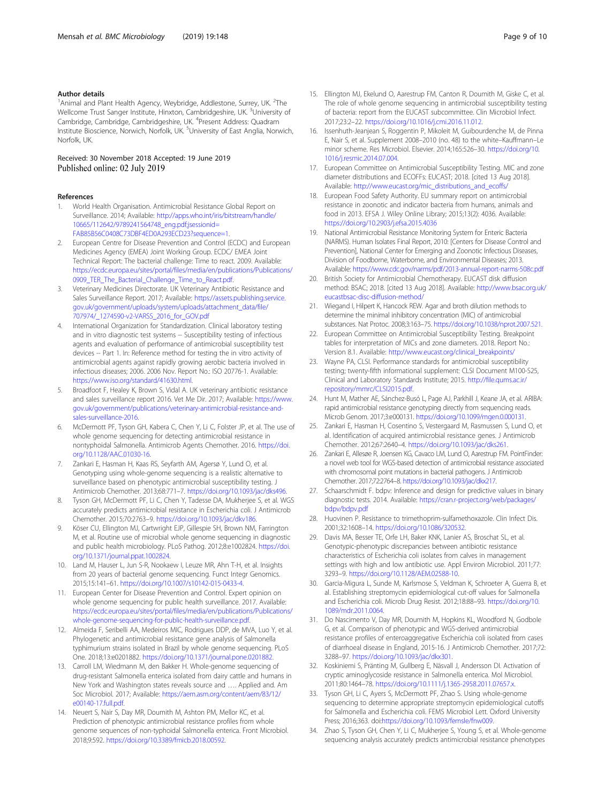# <span id="page-8-0"></span>Author details

<sup>1</sup> Animal and Plant Health Agency, Weybridge, Addlestone, Surrey, UK. <sup>2</sup>The Wellcome Trust Sanger Institute, Hinxton, Cambridgeshire, UK. <sup>3</sup>University of Cambridge, Cambridge, Cambridgeshire, UK. <sup>4</sup>Present Address: Quadram Institute Bioscience, Norwich, Norfolk, UK. <sup>5</sup>University of East Anglia, Norwich, Norfolk, UK.

### Received: 30 November 2018 Accepted: 19 June 2019 Published online: 02 July 2019

#### References

- 1. World Health Organisation. Antimicrobial Resistance Global Report on Surveillance. 2014; Available: [http://apps.who.int/iris/bitstream/handle/](http://apps.who.int/iris/bitstream/handle/10665/112642/9789241564748_eng.pdf;jsessionid=FAB85B56C0408C73DBF4ED0A293ECD23?sequence=1) [10665/112642/9789241564748\\_eng.pdf;jsessionid=](http://apps.who.int/iris/bitstream/handle/10665/112642/9789241564748_eng.pdf;jsessionid=FAB85B56C0408C73DBF4ED0A293ECD23?sequence=1) [FAB85B56C0408C73DBF4ED0A293ECD23?sequence=1](http://apps.who.int/iris/bitstream/handle/10665/112642/9789241564748_eng.pdf;jsessionid=FAB85B56C0408C73DBF4ED0A293ECD23?sequence=1).
- 2. European Centre for Disease Prevention and Control (ECDC) and European Medicines Agency (EMEA) Joint Working Group. ECDC/ EMEA Joint Technical Report: The bacterial challenge: Time to react. 2009. Available: [https://ecdc.europa.eu/sites/portal/files/media/en/publications/Publications/](https://ecdc.europa.eu/sites/portal/files/media/en/publications/Publications/0909_TER_The_Bacterial_Challenge_Time_to_React.pdf) [0909\\_TER\\_The\\_Bacterial\\_Challenge\\_Time\\_to\\_React.pdf.](https://ecdc.europa.eu/sites/portal/files/media/en/publications/Publications/0909_TER_The_Bacterial_Challenge_Time_to_React.pdf)
- 3. Veterinary Medicines Directorate. UK Veterinary Antibiotic Resistance and Sales Surveillance Report. 2017; Available: [https://assets.publishing.service.](https://assets.publishing.service.gov.uk/government/uploads/system/uploads/attachment_data/file/707974/_1274590-v2-VARSS_2016_for_GOV.pdf) [gov.uk/government/uploads/system/uploads/attachment\\_data/file/](https://assets.publishing.service.gov.uk/government/uploads/system/uploads/attachment_data/file/707974/_1274590-v2-VARSS_2016_for_GOV.pdf) [707974/\\_1274590-v2-VARSS\\_2016\\_for\\_GOV.pdf](https://assets.publishing.service.gov.uk/government/uploads/system/uploads/attachment_data/file/707974/_1274590-v2-VARSS_2016_for_GOV.pdf)
- 4. International Organization for Standardization. Clinical laboratory testing and in vitro diagnostic test systems -- Susceptibility testing of infectious agents and evaluation of performance of antimicrobial susceptibility test devices -- Part 1. In: Reference method for testing the in vitro activity of antimicrobial agents against rapidly growing aerobic bacteria involved in infectious diseases; 2006. 2006 Nov. Report No.: ISO 20776-1. Available: [https://www.iso.org/standard/41630.html.](https://www.iso.org/standard/41630.html)
- Broadfoot F, Healey K, Brown S, Vidal A. UK veterinary antibiotic resistance and sales surveillance report 2016. Vet Me Dir. 2017; Available: [https://www.](https://www.gov.uk/government/publications/veterinary-antimicrobial-resistance-and-sales-surveillance-2016) [gov.uk/government/publications/veterinary-antimicrobial-resistance-and](https://www.gov.uk/government/publications/veterinary-antimicrobial-resistance-and-sales-surveillance-2016)[sales-surveillance-2016.](https://www.gov.uk/government/publications/veterinary-antimicrobial-resistance-and-sales-surveillance-2016)
- 6. McDermott PF, Tyson GH, Kabera C, Chen Y, Li C, Folster JP, et al. The use of whole genome sequencing for detecting antimicrobial resistance in nontyphoidal Salmonella. Antimicrob Agents Chemother. 2016. [https://doi.](https://doi.org/10.1128/AAC.01030-16) [org/10.1128/AAC.01030-16](https://doi.org/10.1128/AAC.01030-16).
- 7. Zankari E, Hasman H, Kaas RS, Seyfarth AM, Agersø Y, Lund O, et al. Genotyping using whole-genome sequencing is a realistic alternative to surveillance based on phenotypic antimicrobial susceptibility testing. J Antimicrob Chemother. 2013;68:771–7. [https://doi.org/10.1093/jac/dks496.](https://doi.org/10.1093/jac/dks496)
- Tyson GH, McDermott PF, Li C, Chen Y, Tadesse DA, Mukherjee S, et al. WGS accurately predicts antimicrobial resistance in Escherichia coli. J Antimicrob Chemother. 2015;70:2763–9. [https://doi.org/10.1093/jac/dkv186.](https://doi.org/10.1093/jac/dkv186)
- 9. Köser CU, Ellington MJ, Cartwright EJP, Gillespie SH, Brown NM, Farrington M, et al. Routine use of microbial whole genome sequencing in diagnostic and public health microbiology. PLoS Pathog. 2012;8:e1002824. [https://doi.](https://doi.org/10.1371/journal.ppat.1002824) [org/10.1371/journal.ppat.1002824.](https://doi.org/10.1371/journal.ppat.1002824)
- 10. Land M, Hauser L, Jun S-R, Nookaew I, Leuze MR, Ahn T-H, et al. Insights from 20 years of bacterial genome sequencing. Funct Integr Genomics. 2015;15:141–61. [https://doi.org/10.1007/s10142-015-0433-4.](https://doi.org/10.1007/s10142-015-0433-4)
- 11. European Center for Disease Prevention and Control. Expert opinion on whole genome sequencing for public health surveillance. 2017. Available: [https://ecdc.europa.eu/sites/portal/files/media/en/publications/Publications/](https://ecdc.europa.eu/sites/portal/files/media/en/publications/Publications/whole-genome-sequencing-for-public-health-surveillance.pdf) [whole-genome-sequencing-for-public-health-surveillance.pdf.](https://ecdc.europa.eu/sites/portal/files/media/en/publications/Publications/whole-genome-sequencing-for-public-health-surveillance.pdf)
- 12. Almeida F, Seribelli AA, Medeiros MIC, Rodrigues DDP, de MVA, Luo Y, et al. Phylogenetic and antimicrobial resistance gene analysis of Salmonella typhimurium strains isolated in Brazil by whole genome sequencing. PLoS One. 2018;13:e0201882. <https://doi.org/10.1371/journal.pone.0201882>.
- 13. Carroll LM, Wiedmann M, den Bakker H. Whole-genome sequencing of drug-resistant Salmonella enterica isolated from dairy cattle and humans in New York and Washington states reveals source and …. Applied and. Am Soc Microbiol. 2017; Available: [https://aem.asm.org/content/aem/83/12/](https://aem.asm.org/content/aem/83/12/e00140-17.full.pdf) [e00140-17.full.pdf.](https://aem.asm.org/content/aem/83/12/e00140-17.full.pdf)
- 14. Neuert S, Nair S, Day MR, Doumith M, Ashton PM, Mellor KC, et al. Prediction of phenotypic antimicrobial resistance profiles from whole genome sequences of non-typhoidal Salmonella enterica. Front Microbiol. 2018;9:592. <https://doi.org/10.3389/fmicb.2018.00592>.
- 15. Ellington MJ, Ekelund O, Aarestrup FM, Canton R, Doumith M, Giske C, et al. The role of whole genome sequencing in antimicrobial susceptibility testing of bacteria: report from the EUCAST subcommittee. Clin Microbiol Infect. 2017;23:2–22. <https://doi.org/10.1016/j.cmi.2016.11.012>.
- 16. Issenhuth-Jeanjean S, Roggentin P, Mikoleit M, Guibourdenche M, de Pinna E, Nair S, et al. Supplement 2008–2010 (no. 48) to the white–Kauffmann–Le minor scheme. Res Microbiol. Elsevier. 2014;165:526–30. [https://doi.org/10.](https://doi.org/10.1016/j.resmic.2014.07.004) [1016/j.resmic.2014.07.004](https://doi.org/10.1016/j.resmic.2014.07.004).
- 17. European Committee on Antimicrobial Susceptibility Testing. MIC and zone diameter distributions and ECOFFs: EUCAST; 2018. [cited 13 Aug 2018]. Available: [http://www.eucast.org/mic\\_distributions\\_and\\_ecoffs/](http://www.eucast.org/mic_distributions_and_ecoffs/)
- 18. European Food Safety Authority. EU summary report on antimicrobial resistance in zoonotic and indicator bacteria from humans, animals and food in 2013. EFSA J. Wiley Online Library; 2015;13(2): 4036. Available: <https://doi.org/10.2903/j.efsa.2015.4036>
- 19. National Antimicrobial Resistance Monitoring System for Enteric Bacteria (NARMS). Human Isolates Final Report, 2010: [Centers for Disease Control and Prevention], National Center for Emerging and Zoonotic Infectious Diseases, Division of Foodborne, Waterborne, and Environmental Diseases; 2013. Available: <https://www.cdc.gov/narms/pdf/2013-annual-report-narms-508c.pdf>
- 20. British Society for Antimicrobial Chemotherapy. EUCAST disk diffusion method: BSAC; 2018. [cited 13 Aug 2018]. Available: [http://www.bsac.org.uk/](http://www.bsac.org.uk/eucastbsac-disc-diffusion-method/) [eucastbsac-disc-diffusion-method/](http://www.bsac.org.uk/eucastbsac-disc-diffusion-method/)
- 21. Wiegand I, Hilpert K, Hancock REW. Agar and broth dilution methods to determine the minimal inhibitory concentration (MIC) of antimicrobial substances. Nat Protoc. 2008;3:163–75. [https://doi.org/10.1038/nprot.2007.521.](https://doi.org/10.1038/nprot.2007.521)
- 22. European Committee on Antimicrobial Susceptibility Testing. Breakpoint tables for interpretation of MICs and zone diameters. 2018. Report No.: Version 8.1. Available: [http://www.eucast.org/clinical\\_breakpoints/](http://www.eucast.org/clinical_breakpoints/)
- 23. Wayne PA, CLSI. Performance standards for antimicrobial susceptibility testing; twenty-fifth informational supplement: CLSI Document M100-S25, Clinical and Laboratory Standards Institute; 2015. [http://file.qums.ac.ir/](http://file.qums.ac.ir/repository/mmrc/CLSI2015.pdf) [repository/mmrc/CLSI2015.pdf](http://file.qums.ac.ir/repository/mmrc/CLSI2015.pdf).
- 24. Hunt M, Mather AE, Sánchez-Busó L, Page AJ, Parkhill J, Keane JA, et al. ARIBA: rapid antimicrobial resistance genotyping directly from sequencing reads. Microb Genom. 2017;3:e000131. [https://doi.org/10.1099/mgen.0.000131.](https://doi.org/10.1099/mgen.0.000131)
- 25. Zankari E, Hasman H, Cosentino S, Vestergaard M, Rasmussen S, Lund O, et al. Identification of acquired antimicrobial resistance genes. J Antimicrob Chemother. 2012;67:2640–4. <https://doi.org/10.1093/jac/dks261>.
- 26. Zankari E, Allesøe R, Joensen KG, Cavaco LM, Lund O, Aarestrup FM. PointFinder: a novel web tool for WGS-based detection of antimicrobial resistance associated with chromosomal point mutations in bacterial pathogens. J Antimicrob Chemother. 2017;72:2764–8. [https://doi.org/10.1093/jac/dkx217.](https://doi.org/10.1093/jac/dkx217)
- 27. Schaarschmidt F. bdpv: Inference and design for predictive values in binary diagnostic tests. 2014. Available: [https://cran.r-project.org/web/packages/](https://cran.r-project.org/web/packages/bdpv/bdpv.pdf) [bdpv/bdpv.pdf](https://cran.r-project.org/web/packages/bdpv/bdpv.pdf)
- 28. Huovinen P. Resistance to trimethoprim-sulfamethoxazole. Clin Infect Dis. 2001;32:1608–14. [https://doi.org/10.1086/320532.](https://doi.org/10.1086/320532)
- 29. Davis MA, Besser TE, Orfe LH, Baker KNK, Lanier AS, Broschat SL, et al. Genotypic-phenotypic discrepancies between antibiotic resistance characteristics of Escherichia coli isolates from calves in management settings with high and low antibiotic use. Appl Environ Microbiol. 2011;77: 3293–9. [https://doi.org/10.1128/AEM.02588-10.](https://doi.org/10.1128/AEM.02588-10)
- 30. Garcia-Migura L, Sunde M, Karlsmose S, Veldman K, Schroeter A, Guerra B, et al. Establishing streptomycin epidemiological cut-off values for Salmonella and Escherichia coli. Microb Drug Resist. 2012;18:88–93. [https://doi.org/10.](https://doi.org/10.1089/mdr.2011.0064) [1089/mdr.2011.0064](https://doi.org/10.1089/mdr.2011.0064).
- 31. Do Nascimento V, Day MR, Doumith M, Hopkins KL, Woodford N, Godbole G, et al. Comparison of phenotypic and WGS-derived antimicrobial resistance profiles of enteroaggregative Escherichia coli isolated from cases of diarrhoeal disease in England, 2015-16. J Antimicrob Chemother. 2017;72: 3288–97. [https://doi.org/10.1093/jac/dkx301.](https://doi.org/10.1093/jac/dkx301)
- 32. Koskiniemi S, Pränting M, Gullberg E, Näsvall J, Andersson DI. Activation of cryptic aminoglycoside resistance in Salmonella enterica. Mol Microbiol. 2011;80:1464–78. <https://doi.org/10.1111/j.1365-2958.2011.07657.x>.
- 33. Tyson GH, Li C, Ayers S, McDermott PF, Zhao S. Using whole-genome sequencing to determine appropriate streptomycin epidemiological cutoffs for Salmonella and Escherichia coli. FEMS Microbiol Lett. Oxford University Press; 2016;363. doi:<https://doi.org/10.1093/femsle/fnw009>.
- 34. Zhao S, Tyson GH, Chen Y, Li C, Mukherjee S, Young S, et al. Whole-genome sequencing analysis accurately predicts antimicrobial resistance phenotypes